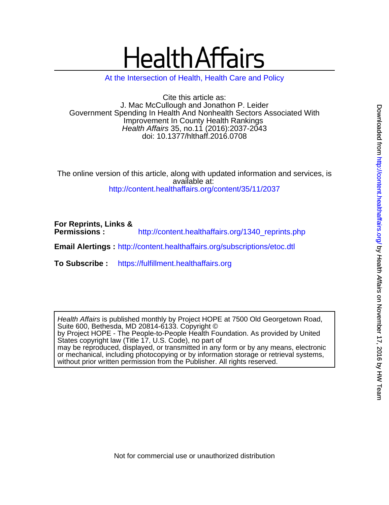# **Health Affairs**

[At the Intersection of Health, Health Care and Policy](http://www.healthaffairs.org)

doi: 10.1377/hlthaff.2016.0708 Health Affairs 35, no.11 (2016):2037-2043 Improvement In County Health Rankings Government Spending In Health And Nonhealth Sectors Associated With J. Mac McCullough and Jonathon P. Leider Cite this article as:

<http://content.healthaffairs.org/content/35/11/2037> available at: The online version of this article, along with updated information and services, is

**Permissions : For Reprints, Links &** [http://content.healthaffairs.org/1340\\_reprints.php](http://content.healthaffairs.org/1340_reprints.php)

**Email Alertings :** [http://content.healthaffairs.org/subscriptions/etoc.dtl](https://fulfillment.healthaffairs.org)

**To Subscribe :** <https://fulfillment.healthaffairs.org>

without prior written permission from the Publisher. All rights reserved. or mechanical, including photocopying or by information storage or retrieval systems, may be reproduced, displayed, or transmitted in any form or by any means, electronic States copyright law (Title 17, U.S. Code), no part of by Project HOPE - The People-to-People Health Foundation. As provided by United Suite 600, Bethesda, MD 20814-6133. Copyright © Health Affairs is published monthly by Project HOPE at 7500 Old Georgetown Road,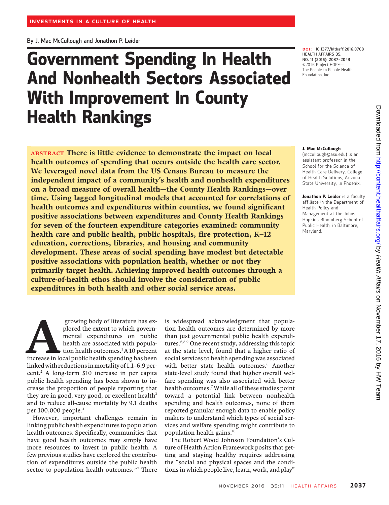By J. Mac McCullough and Jonathon P. Leider

## Government Spending In Health And Nonhealth Sectors Associated With Improvement In County Health Rankings

DOI: 10.1377/hlthaff.2016.0708 HEALTH AFFAIRS 35, NO. 11 (2016): 2037–<sup>2043</sup> ©2016 Project HOPE— The People-to-People Health Foundation, Inc.

#### J. Mac McCullough

(mccullough@asu.edu) is an assistant professor in the School for the Science of Health Care Delivery, College of Health Solutions, Arizona State University, in Phoenix.

Jonathon P. Leider is a faculty affiliate in the Department of Health Policy and Management at the Johns Hopkins Bloomberg School of Public Health, in Baltimore, Maryland.

ABSTRACT There is little evidence to demonstrate the impact on local health outcomes of spending that occurs outside the health care sector. We leveraged novel data from the US Census Bureau to measure the independent impact of a community's health and nonhealth expenditures on a broad measure of overall health—the County Health Rankings—over time. Using lagged longitudinal models that accounted for correlations of health outcomes and expenditures within counties, we found significant positive associations between expenditures and County Health Rankings for seven of the fourteen expenditure categories examined: community health care and public health, public hospitals, fire protection, K–12 education, corrections, libraries, and housing and community development. These areas of social spending have modest but detectable positive associations with population health, whether or not they primarily target health. Achieving improved health outcomes through a culture-of-health ethos should involve the consideration of public expenditures in both health and other social service areas.

growing body of literature has ex-<br>plored the extent to which governmental expenditures on public<br>health are associated with popula-<br>tion health outcomes.<sup>1</sup> A 10 percent<br>increase in local public health spending has been plored the extent to which governmental expenditures on public health are associated with populaion health outcomes.<sup>1</sup> A 10 percent linked with reductions inmortality of 1.1–6.9 percent.2 A long-term \$10 increase in per capita public health spending has been shown to increase the proportion of people reporting that they are in good, very good, or excellent health $3$ and to reduce all-cause mortality by 9.1 deaths per 100,000 people.<sup>4</sup>

However, important challenges remain in linking public health expenditures to population health outcomes. Specifically, communities that have good health outcomes may simply have more resources to invest in public health. A few previous studies have explored the contribution of expenditures outside the public health sector to population health outcomes.<sup>5-7</sup> There

is widespread acknowledgment that population health outcomes are determined by more than just governmental public health expenditures.6,8,9 One recent study, addressing this topic at the state level, found that a higher ratio of social services to health spending was associated with better state health outcomes.<sup>6</sup> Another state-level study found that higher overall welfare spending was also associated with better health outcomes.<sup>7</sup> While all of these studies point toward a potential link between nonhealth spending and health outcomes, none of them reported granular enough data to enable policy makers to understand which types of social services and welfare spending might contribute to population health gains.10

The Robert Wood Johnson Foundation's Culture of Health Action Framework posits that getting and staying healthy requires addressing the "social and physical spaces and the conditions in which people live, learn, work, and play"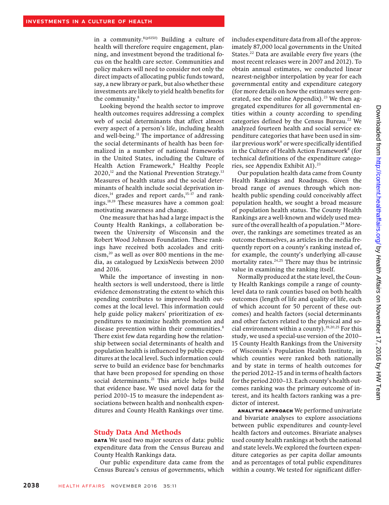in a community.  $8(pS150)$  Building a culture of health will therefore require engagement, planning, and investment beyond the traditional focus on the health care sector. Communities and policy makers will need to consider not only the direct impacts of allocating public funds toward, say, a new library or park, but also whether these investments are likely to yield health benefits for the community.<sup>8</sup>

Looking beyond the health sector to improve health outcomes requires addressing a complex web of social determinants that affect almost every aspect of a person's life, including health and well-being.<sup>11</sup> The importance of addressing the social determinants of health has been formalized in a number of national frameworks in the United States, including the Culture of Health Action Framework,<sup>8</sup> Healthy People  $2020$ ,<sup>12</sup> and the National Prevention Strategy.<sup>13</sup> Measures of health status and the social determinants of health include social deprivation indices,<sup>14</sup> grades and report cards,<sup>15-17</sup> and rankings.18,19 These measures have a common goal: motivating awareness and change.

One measure that has had a large impact is the County Health Rankings, a collaboration between the University of Wisconsin and the Robert Wood Johnson Foundation. These rankings have received both accolades and criti $cism$ ,<sup>20</sup> as well as over 800 mentions in the media, as catalogued by LexisNexis between 2010 and 2016.

While the importance of investing in nonhealth sectors is well understood, there is little evidence demonstrating the extent to which this spending contributes to improved health outcomes at the local level. This information could help guide policy makers' prioritization of expenditures to maximize health promotion and disease prevention within their communities.<sup>8</sup> There exist few data regarding how the relationship between social determinants of health and population health is influenced by public expenditures at the local level. Such information could serve to build an evidence base for benchmarks that have been proposed for spending on those social determinants.<sup>21</sup> This article helps build that evidence base. We used novel data for the period 2010–15 to measure the independent associations between health and nonhealth expenditures and County Health Rankings over time.

#### Study Data And Methods

DATA We used two major sources of data: public expenditure data from the Census Bureau and County Health Rankings data.

Our public expenditure data came from the Census Bureau's census of governments, which

includes expenditure data from all of the approximately 87,000 local governments in the United States.<sup>22</sup> Data are available every five years (the most recent releases were in 2007 and 2012). To obtain annual estimates, we conducted linear nearest-neighbor interpolation by year for each governmental entity and expenditure category (for more details on how the estimates were generated, see the online Appendix).<sup>23</sup> We then aggregated expenditures for all governmental entities within a county according to spending categories defined by the Census Bureau.<sup>22</sup> We analyzed fourteen health and social service expenditure categories that have been used in similar previous work $6$  or were specifically identified in the Culture of Health Action Framework<sup>8</sup> (for technical definitions of the expenditure categories, see Appendix Exhibit A1).<sup>23</sup>

Our population health data came from County Health Rankings and Roadmaps. Given the broad range of avenues through which nonhealth public spending could conceivably affect population health, we sought a broad measure of population health status. The County Health Rankings are a well-known and widely used measure of the overall health of a population.<sup>24</sup> Moreover, the rankings are sometimes treated as an outcome themselves, as articles in the media frequently report on a county's ranking instead of, for example, the county's underlying all-cause mortality rates. $24,25$  There may thus be intrinsic value in examining the ranking itself.

Normally produced at the state level, the County Health Rankings compile a range of countylevel data to rank counties based on both health outcomes (length of life and quality of life, each of which account for 50 percent of these outcomes) and health factors (social determinants and other factors related to the physical and social environment within a county).<sup>19,20,25</sup> For this study, we used a special-use version of the 2010– 15 County Health Rankings from the University of Wisconsin's Population Health Institute, in which counties were ranked both nationally and by state in terms of health outcomes for the period 2012–15 and in terms of health factors for the period 2010–13. Each county's health outcomes ranking was the primary outcome of interest, and its health factors ranking was a predictor of interest.

Analytic Approach We performed univariate and bivariate analyses to explore associations between public expenditures and county-level health factors and outcomes. Bivariate analyses used county health rankings at both the national and state levels.We explored the fourteen expenditure categories as per capita dollar amounts and as percentages of total public expenditures within a county.We tested for significant differ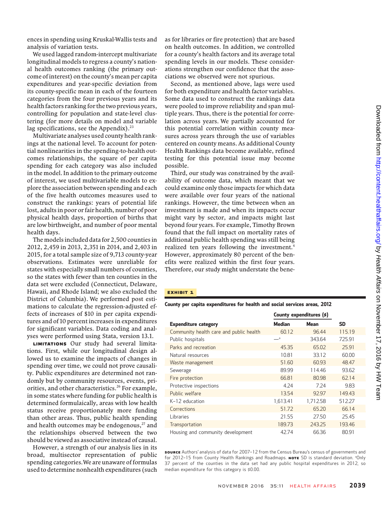ences in spending using Kruskal-Wallis tests and analysis of variation tests.

We used lagged random-intercept multivariate longitudinal models to regress a county's national health outcomes ranking (the primary outcome of interest) on the county's mean per capita expenditures and year-specific deviation from its county-specific mean in each of the fourteen categories from the four previous years and its health factors ranking for the two previous years, controlling for population and state-level clustering (for more details on model and variable lag specifications, see the Appendix).<sup>23</sup>

Multivariate analyses used county health rankings at the national level. To account for potential nonlinearities in the spending-to-health outcomes relationships, the square of per capita spending for each category was also included in the model. In addition to the primary outcome of interest, we used multivariable models to explore the association between spending and each of the five health outcomes measures used to construct the rankings: years of potential life lost, adults in poor or fair health, number of poor physical health days, proportion of births that are low birthweight, and number of poor mental health days.

The models included data for 2,500 counties in 2012, 2,459 in 2013, 2,351 in 2014, and 2,403 in 2015, for a total sample size of 9,713 county-year observations. Estimates were unreliable for states with especially small numbers of counties, so the states with fewer than ten counties in the data set were excluded (Connecticut, Delaware, Hawaii, and Rhode Island; we also excluded the District of Columbia). We performed post estimations to calculate the regression-adjusted effects of increases of \$10 in per capita expenditures and of 10 percent increases in expenditures for significant variables. Data coding and analyses were performed using Stata, version 13.1.

Limitations Our study had several limitations. First, while our longitudinal design allowed us to examine the impacts of changes in spending over time, we could not prove causality. Public expenditures are determined not randomly but by community resources, events, priorities, and other characteristics.<sup>26</sup> For example, in some states where funding for public health is determined formulaically, areas with low health status receive proportionately more funding than other areas. Thus, public health spending and health outcomes may be endogenous, $^{27}$  and the relationships observed between the two should be viewed as associative instead of causal.

However, a strength of our analysis lies in its broad, multisector representation of public spending categories.We are unaware of formulas used to determine nonhealth expenditures (such

as for libraries or fire protection) that are based on health outcomes. In addition, we controlled for a county's health factors and its average total spending levels in our models. These considerations strengthen our confidence that the associations we observed were not spurious.

Second, as mentioned above, lags were used for both expenditure and health factor variables. Some data used to construct the rankings data were pooled to improve reliability and span multiple years. Thus, there is the potential for correlation across years. We partially accounted for this potential correlation within county measures across years through the use of variables centered on county means. As additional County Health Rankings data become available, refined testing for this potential issue may become possible.

Third, our study was constrained by the availability of outcome data, which meant that we could examine only those impacts for which data were available over four years of the national rankings. However, the time between when an investment is made and when its impacts occur might vary by sector, and impacts might last beyond four years. For example, Timothy Brown found that the full impact on mortality rates of additional public health spending was still being realized ten years following the investment.<sup>4</sup> However, approximately 80 percent of the benefits were realized within the first four years. Therefore, our study might understate the bene-

#### Exhibit 1

County per capita expenditures for health and social services areas, 2012

|                                         | County expenditures (\$) |          |        |
|-----------------------------------------|--------------------------|----------|--------|
| <b>Expenditure category</b>             | <b>Median</b>            | Mean     | SD     |
| Community health care and public health | 60.12                    | 96.44    | 115.19 |
| Public hospitals                        | $-$ <sup>a</sup>         | 343.64   | 725.91 |
| Parks and recreation                    | 45.35                    | 65.02    | 25.91  |
| Natural resources                       | 10.81                    | 33.12    | 60.00  |
| Waste management                        | 51.60                    | 60.93    | 48.47  |
| Sewerage                                | 89.99                    | 114.46   | 93.62  |
| Fire protection                         | 66.81                    | 80.98    | 62.14  |
| Protective inspections                  | 4.24                     | 7.24     | 9.83   |
| Public welfare                          | 13.54                    | 92.97    | 149.43 |
| K-12 education                          | 1,613.41                 | 1,712.58 | 512.27 |
| Corrections                             | 51.72                    | 65.20    | 66.14  |
| Libraries                               | 21.55                    | 27.50    | 25.45  |
| Transportation                          | 189.73                   | 243.25   | 193.46 |
| Housing and community development       | 42.74                    | 66.36    | 80.91  |

source Authors' analysis of data for 2007-12 from the Census Bureau's census of governments and **SOURCE** Additions analysis of data for 2007 T2 from the Census Bureau's Census of governments and<br>for 2012–15 from County Health Rankings and Roadmaps. NOTE SD is standard deviation. <sup>a</sup>Only 37 percent of the counties in the data set had any public hospital expenditures in 2012, so median expenditure for this category is \$0.00.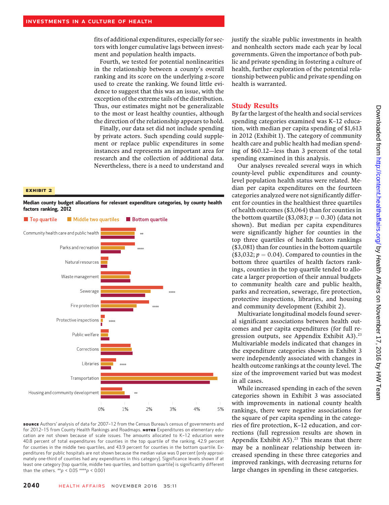fits of additional expenditures, especially for sectors with longer cumulative lags between investment and population health impacts.

Fourth, we tested for potential nonlinearities in the relationship between a county's overall ranking and its score on the underlying z-score used to create the ranking. We found little evidence to suggest that this was an issue, with the exception of the extreme tails of the distribution. Thus, our estimates might not be generalizable to the most or least healthy counties, although the direction of the relationship appears to hold.

Finally, our data set did not include spending by private actors. Such spending could supplement or replace public expenditures in some instances and represents an important area for research and the collection of additional data. Nevertheless, there is a need to understand and

#### Exhibit 2

Median county budget allocations for relevant expenditure categories, by county health factors ranking, 2012



sounce Authors' analysis of data for 2007-12 from the Census Bureau's census of governments and for 2012-15 from County Health Rankings and Roadmaps. NoTES Expenditures on elementary education are not shown because of scale issues. The amounts allocated to K–12 education were 40.8 percent of total expenditures for counties in the top quartile of the ranking, 42.9 percent for counties in the middle two quartiles, and 43.9 percent for counties in the bottom quartile. Expenditures for public hospitals are not shown because the median value was 0 percent (only approximately one-third of counties had any expenditures in this category). Significance levels shown if at least one category (top quartile, middle two quartiles, and bottom quartile) is significantly different than the others.  $^{**}p < 0.05$   $^{***}p < 0.001$ 

justify the sizable public investments in health and nonhealth sectors made each year by local governments. Given the importance of both public and private spending in fostering a culture of health, further exploration of the potential relationship between public and private spending on health is warranted.

#### Study Results

By far the largest of the health and social services spending categories examined was K–12 education, with median per capita spending of \$1,613 in 2012 (Exhibit 1). The category of community health care and public health had median spending of \$60.12—less than 3 percent of the total spending examined in this analysis.

Our analyses revealed several ways in which county-level public expenditures and countylevel population health status were related. Median per capita expenditures on the fourteen categories analyzed were not significantly different for counties in the healthiest three quartiles of health outcomes (\$3,064) than for counties in the bottom quartile (\$3,083;  $p = 0.30$ ) (data not shown). But median per capita expenditures were significantly higher for counties in the top three quartiles of health factors rankings (\$3,081) than for counties in the bottom quartile (\$3,032;  $p = 0.04$ ). Compared to counties in the bottom three quartiles of health factors rankings, counties in the top quartile tended to allocate a larger proportion of their annual budgets to community health care and public health, parks and recreation, sewerage, fire protection, protective inspections, libraries, and housing and community development (Exhibit 2).

Multivariate longitudinal models found several significant associations between health outcomes and per capita expenditures (for full regression outputs, see Appendix Exhibit A3).<sup>23</sup> Multivariable models indicated that changes in the expenditure categories shown in Exhibit 3 were independently associated with changes in health outcome rankings at the county level. The size of the improvement varied but was modest in all cases.

While increased spending in each of the seven categories shown in Exhibit 3 was associated with improvements in national county health rankings, there were negative associations for the square of per capita spending in the categories of fire protection, K–12 education, and corrections (full regression results are shown in Appendix Exhibit A5). $23$  This means that there may be a nonlinear relationship between increased spending in these three categories and improved rankings, with decreasing returns for large changes in spending in these categories.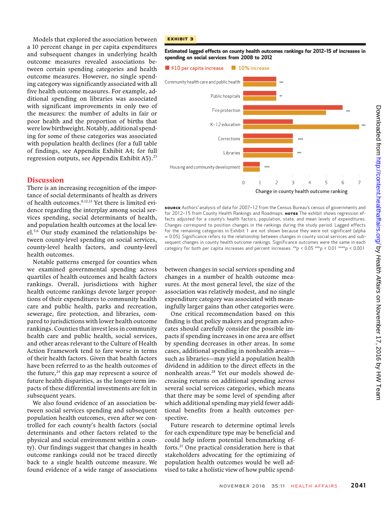Models that explored the association between a 10 percent change in per capita expenditures and subsequent changes in underlying health outcome measures revealed associations between certain spending categories and health outcome measures. However, no single spending category was significantly associated with all five health outcome measures. For example, additional spending on libraries was associated with significant improvements in only two of the measures: the number of adults in fair or poor health and the proportion of births that were low birthweight. Notably, additional spending for some of these categories was associated with population health declines (for a full table of findings, see Appendix Exhibit A4; for full regression outputs, see Appendix Exhibit A5).<sup>23</sup>

#### **Discussion**

There is an increasing recognition of the importance of social determinants of health as drivers of health outcomes.<sup>8,12,13</sup> Yet there is limited evidence regarding the interplay among social services spending, social determinants of health, and population health outcomes at the local level.5,6 Our study examined the relationships between county-level spending on social services, county-level health factors, and county-level health outcomes.

Notable patterns emerged for counties when we examined governmental spending across quartiles of health outcomes and health factors rankings. Overall, jurisdictions with higher health outcome rankings devote larger proportions of their expenditures to community health care and public health, parks and recreation, sewerage, fire protection, and libraries, compared to jurisdictions with lower health outcome rankings. Counties that invest less in community health care and public health, social services, and other areas relevant to the Culture of Health Action Framework tend to fare worse in terms of their health factors. Given that health factors have been referred to as the health outcomes of the future, $^{24}$  this gap may represent a source of future health disparities, as the longer-term impacts of these differential investments are felt in subsequent years.

We also found evidence of an association between social services spending and subsequent population health outcomes, even after we controlled for each county's health factors (social determinants and other factors related to the physical and social environment within a county). Our findings suggest that changes in health outcome rankings could not be traced directly back to a single health outcome measure. We found evidence of a wide range of associations

#### Exhibit 3

Estimated lagged effects on county health outcomes rankings for 2012–15 of increases in spending on social services from 2008 to 2012



SOURCE Authors' analysis of data for 2007–12 from the Census Bureau's census of governments and for 2012-15 from County Health Rankings and Roadmaps. Nores The exhibit shows regression effects adjusted for a county's health factors, population, state, and mean levels of expenditures. Changes correspond to position changes in the rankings during the study period. Lagged effects for the remaining categories in Exhibit 1 are not shown because they were not significant (alpha = 0.05). Significance refers to the relationship between changes in county social services and subsequent changes in county health outcome rankings. Significance outcomes were the same in each category for both per capita increases and percent increases. \*\*p < 0:05 \*\*\*p < 0:01 \*\*\*\*p < 0:001

between changes in social services spending and changes in a number of health outcome measures. At the most general level, the size of the association was relatively modest, and no single expenditure category was associated with meaningfully larger gains than other categories were.

One critical recommendation based on this finding is that policy makers and program advocates should carefully consider the possible impacts if spending increases in one area are offset by spending decreases in other areas. In some cases, additional spending in nonhealth areas such as libraries—may yield a population health dividend in addition to the direct effects in the nonhealth areas.<sup>28</sup> Yet our models showed decreasing returns on additional spending across several social services categories, which means that there may be some level of spending after which additional spending may yield fewer additional benefits from a health outcomes perspective.

Future research to determine optimal levels for each expenditure type may be beneficial and could help inform potential benchmarking efforts.21 One practical consideration here is that stakeholders advocating for the optimizing of population health outcomes would be well advised to take a holistic view of how public spend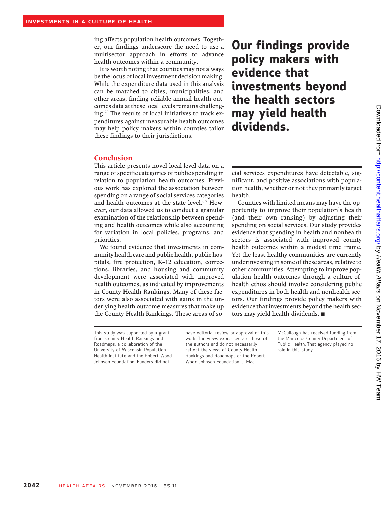ing affects population health outcomes. Together, our findings underscore the need to use a multisector approach in efforts to advance health outcomes within a community.

It is worth noting that counties may not always be the locus of local investment decision making. While the expenditure data used in this analysis can be matched to cities, municipalities, and other areas, finding reliable annual health outcomes data at these local levels remains challenging.29 The results of local initiatives to track expenditures against measurable health outcomes may help policy makers within counties tailor these findings to their jurisdictions.

### Our findings provide policy makers with evidence that investments beyond the health sectors may yield health dividends.

#### Conclusion

This article presents novel local-level data on a range of specific categories of public spending in relation to population health outcomes. Previous work has explored the association between spending on a range of social services categories and health outcomes at the state level.<sup>6,7</sup> However, our data allowed us to conduct a granular examination of the relationship between spending and health outcomes while also accounting for variation in local policies, programs, and priorities.

We found evidence that investments in community health care and public health, public hospitals, fire protection, K–12 education, corrections, libraries, and housing and community development were associated with improved health outcomes, as indicated by improvements in County Health Rankings. Many of these factors were also associated with gains in the underlying health outcome measures that make up the County Health Rankings. These areas of social services expenditures have detectable, significant, and positive associations with population health, whether or not they primarily target health.

Counties with limited means may have the opportunity to improve their population's health (and their own ranking) by adjusting their spending on social services. Our study provides evidence that spending in health and nonhealth sectors is associated with improved county health outcomes within a modest time frame. Yet the least healthy communities are currently underinvesting in some of these areas, relative to other communities. Attempting to improve population health outcomes through a culture-ofhealth ethos should involve considering public expenditures in both health and nonhealth sectors. Our findings provide policy makers with evidence that investments beyond the health sectors may yield health dividends. ■

This study was supported by a grant from County Health Rankings and Roadmaps, a collaboration of the University of Wisconsin Population Health Institute and the Robert Wood Johnson Foundation. Funders did not

have editorial review or approval of this work. The views expressed are those of the authors and do not necessarily reflect the views of County Health Rankings and Roadmaps or the Robert Wood Johnson Foundation. J. Mac

McCullough has received funding from the Maricopa County Department of Public Health. That agency played no role in this study.